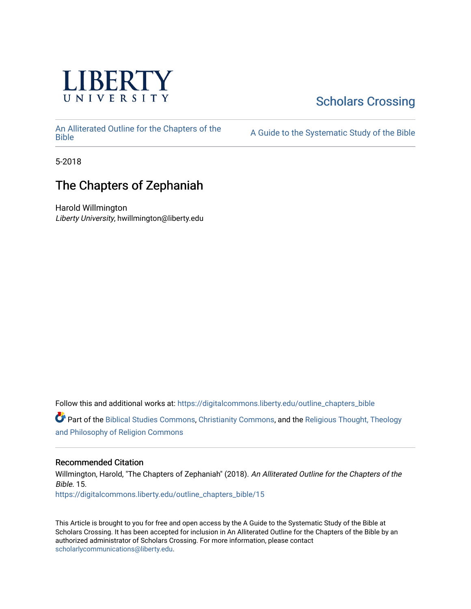

## [Scholars Crossing](https://digitalcommons.liberty.edu/)

[An Alliterated Outline for the Chapters of the](https://digitalcommons.liberty.edu/outline_chapters_bible) 

A Guide to the Systematic Study of the [Bible](https://digitalcommons.liberty.edu/outline_chapters_bible)

5-2018

## The Chapters of Zephaniah

Harold Willmington Liberty University, hwillmington@liberty.edu

Follow this and additional works at: [https://digitalcommons.liberty.edu/outline\\_chapters\\_bible](https://digitalcommons.liberty.edu/outline_chapters_bible?utm_source=digitalcommons.liberty.edu%2Foutline_chapters_bible%2F15&utm_medium=PDF&utm_campaign=PDFCoverPages)

Part of the [Biblical Studies Commons,](http://network.bepress.com/hgg/discipline/539?utm_source=digitalcommons.liberty.edu%2Foutline_chapters_bible%2F15&utm_medium=PDF&utm_campaign=PDFCoverPages) [Christianity Commons,](http://network.bepress.com/hgg/discipline/1181?utm_source=digitalcommons.liberty.edu%2Foutline_chapters_bible%2F15&utm_medium=PDF&utm_campaign=PDFCoverPages) and the [Religious Thought, Theology](http://network.bepress.com/hgg/discipline/544?utm_source=digitalcommons.liberty.edu%2Foutline_chapters_bible%2F15&utm_medium=PDF&utm_campaign=PDFCoverPages)  [and Philosophy of Religion Commons](http://network.bepress.com/hgg/discipline/544?utm_source=digitalcommons.liberty.edu%2Foutline_chapters_bible%2F15&utm_medium=PDF&utm_campaign=PDFCoverPages)

### Recommended Citation

Willmington, Harold, "The Chapters of Zephaniah" (2018). An Alliterated Outline for the Chapters of the Bible. 15. [https://digitalcommons.liberty.edu/outline\\_chapters\\_bible/15](https://digitalcommons.liberty.edu/outline_chapters_bible/15?utm_source=digitalcommons.liberty.edu%2Foutline_chapters_bible%2F15&utm_medium=PDF&utm_campaign=PDFCoverPages) 

This Article is brought to you for free and open access by the A Guide to the Systematic Study of the Bible at Scholars Crossing. It has been accepted for inclusion in An Alliterated Outline for the Chapters of the Bible by an authorized administrator of Scholars Crossing. For more information, please contact [scholarlycommunications@liberty.edu.](mailto:scholarlycommunications@liberty.edu)